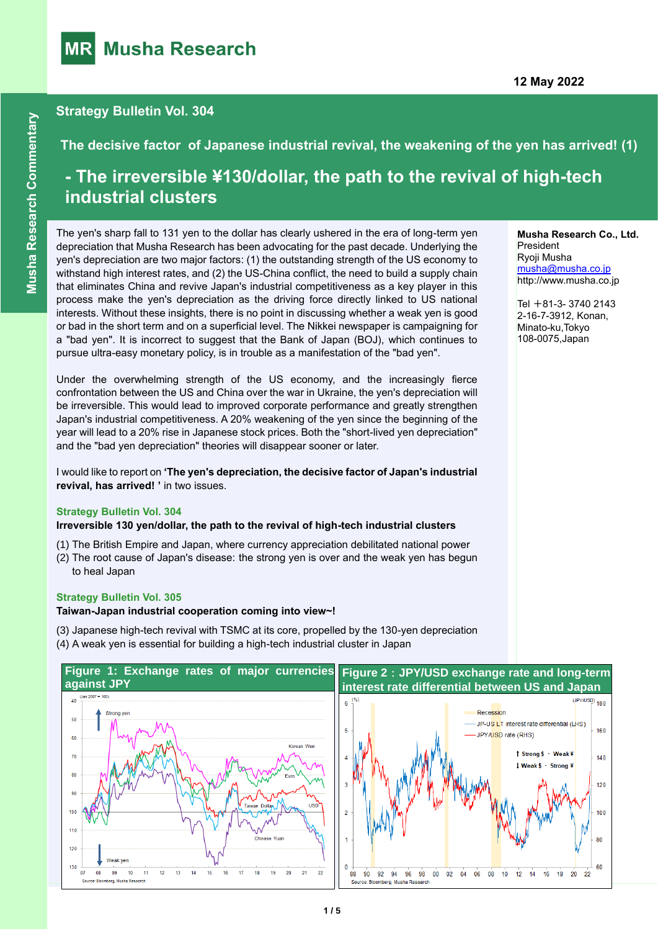

# \ **Strategy Bulletin Vol. 304**

**The decisive factor of Japanese industrial revival, the weakening of the yen has arrived! (1)**

# **- The irreversible ¥130/dollar, the path to the revival of high-tech industrial clusters**

The yen's sharp fall to 131 yen to the dollar has clearly ushered in the era of long-term yen depreciation that Musha Research has been advocating for the past decade. Underlying the yen's depreciation are two major factors: (1) the outstanding strength of the US economy to withstand high interest rates, and (2) the US-China conflict, the need to build a supply chain that eliminates China and revive Japan's industrial competitiveness as a key player in this process make the yen's depreciation as the driving force directly linked to US national interests. Without these insights, there is no point in discussing whether a weak yen is good or bad in the short term and on a superficial level. The Nikkei newspaper is campaigning for a "bad yen". It is incorrect to suggest that the Bank of Japan (BOJ), which continues to pursue ultra-easy monetary policy, is in trouble as a manifestation of the "bad yen".

Under the overwhelming strength of the US economy, and the increasingly fierce confrontation between the US and China over the war in Ukraine, the yen's depreciation will be irreversible. This would lead to improved corporate performance and greatly strengthen Japan's industrial competitiveness. A 20% weakening of the yen since the beginning of the year will lead to a 20% rise in Japanese stock prices. Both the "short-lived yen depreciation" and the "bad yen depreciation" theories will disappear sooner or later.

I would like to report on **'The yen's depreciation, the decisive factor of Japan's industrial revival, has arrived! '** in two issues.

#### **Strategy Bulletin Vol. 304**

#### **Irreversible 130 yen/dollar, the path to the revival of high-tech industrial clusters**

- (1) The British Empire and Japan, where currency appreciation debilitated national power
- (2) The root cause of Japan's disease: the strong yen is over and the weak yen has begun to heal Japan

#### **Strategy Bulletin Vol. 305**

**Taiwan-Japan industrial cooperation coming into view~!**

- (3) Japanese high-tech revival with TSMC at its core, propelled by the 130-yen depreciation
- (4) A weak yen is essential for building a high-tech industrial cluster in Japan



#### **Musha Research Co., Ltd. President** Ryoji Musha [musha@musha.co.jp](mailto:musha@musha.co.jp) http://www.musha.co.jp

Tel  $+81-3-37402143$ 2-16-7-3912, Konan, Minato-ku,Tokyo 108-0075,Japan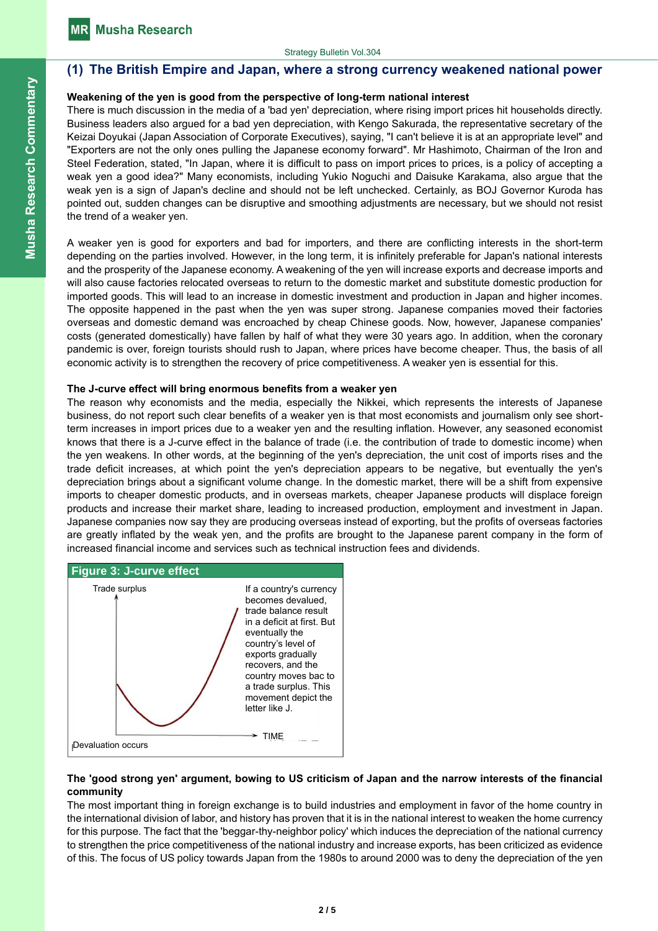# **(1) The British Empire and Japan, where a strong currency weakened national power**

## **Weakening of the yen is good from the perspective of long-term national interest**

There is much discussion in the media of a 'bad yen' depreciation, where rising import prices hit households directly. Business leaders also argued for a bad yen depreciation, with Kengo Sakurada, the representative secretary of the Keizai Doyukai (Japan Association of Corporate Executives), saying, "I can't believe it is at an appropriate level" and "Exporters are not the only ones pulling the Japanese economy forward". Mr Hashimoto, Chairman of the Iron and Steel Federation, stated, "In Japan, where it is difficult to pass on import prices to prices, is a policy of accepting a weak yen a good idea?" Many economists, including Yukio Noguchi and Daisuke Karakama, also argue that the weak yen is a sign of Japan's decline and should not be left unchecked. Certainly, as BOJ Governor Kuroda has pointed out, sudden changes can be disruptive and smoothing adjustments are necessary, but we should not resist the trend of a weaker yen.

A weaker yen is good for exporters and bad for importers, and there are conflicting interests in the short-term depending on the parties involved. However, in the long term, it is infinitely preferable for Japan's national interests and the prosperity of the Japanese economy. A weakening of the yen will increase exports and decrease imports and will also cause factories relocated overseas to return to the domestic market and substitute domestic production for imported goods. This will lead to an increase in domestic investment and production in Japan and higher incomes. The opposite happened in the past when the yen was super strong. Japanese companies moved their factories overseas and domestic demand was encroached by cheap Chinese goods. Now, however, Japanese companies' costs (generated domestically) have fallen by half of what they were 30 years ago. In addition, when the coronary pandemic is over, foreign tourists should rush to Japan, where prices have become cheaper. Thus, the basis of all economic activity is to strengthen the recovery of price competitiveness. A weaker yen is essential for this.

#### **The J-curve effect will bring enormous benefits from a weaker yen**

The reason why economists and the media, especially the Nikkei, which represents the interests of Japanese business, do not report such clear benefits of a weaker yen is that most economists and journalism only see shortterm increases in import prices due to a weaker yen and the resulting inflation. However, any seasoned economist knows that there is a J-curve effect in the balance of trade (i.e. the contribution of trade to domestic income) when the yen weakens. In other words, at the beginning of the yen's depreciation, the unit cost of imports rises and the trade deficit increases, at which point the yen's depreciation appears to be negative, but eventually the yen's depreciation brings about a significant volume change. In the domestic market, there will be a shift from expensive imports to cheaper domestic products, and in overseas markets, cheaper Japanese products will displace foreign products and increase their market share, leading to increased production, employment and investment in Japan. Japanese companies now say they are producing overseas instead of exporting, but the profits of overseas factories are greatly inflated by the weak yen, and the profits are brought to the Japanese parent company in the form of increased financial income and services such as technical instruction fees and dividends.





## **The 'good strong yen' argument, bowing to US criticism of Japan and the narrow interests of the financial community**

The most important thing in foreign exchange is to build industries and employment in favor of the home country in the international division of labor, and history has proven that it is in the national interest to weaken the home currency for this purpose. The fact that the 'beggar-thy-neighbor policy' which induces the depreciation of the national currency to strengthen the price competitiveness of the national industry and increase exports, has been criticized as evidence of this. The focus of US policy towards Japan from the 1980s to around 2000 was to deny the depreciation of the yen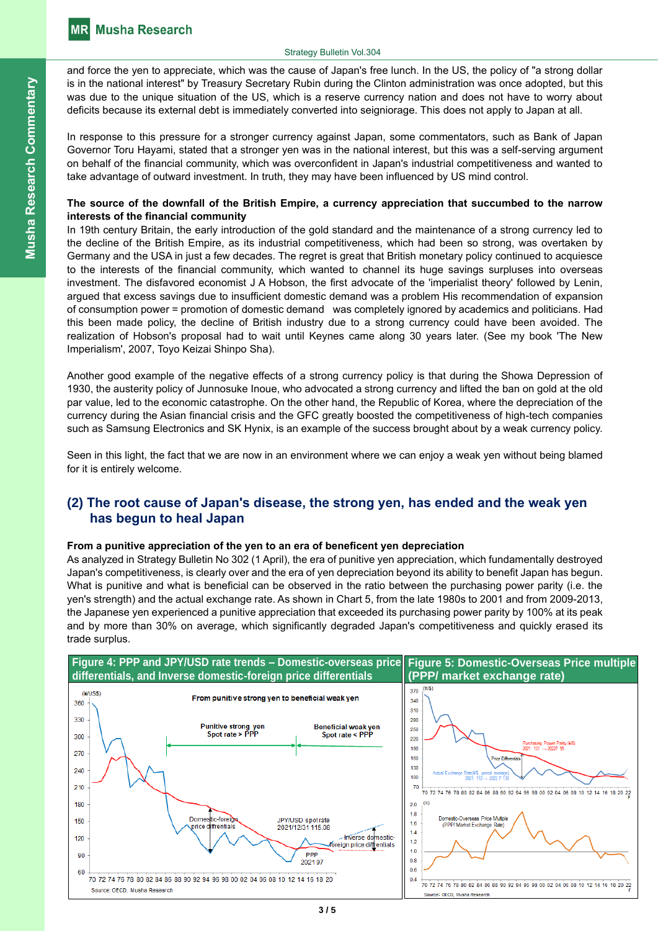and force the yen to appreciate, which was the cause of Japan's free lunch. In the US, the policy of "a strong dollar is in the national interest" by Treasury Secretary Rubin during the Clinton administration was once adopted, but this was due to the unique situation of the US, which is a reserve currency nation and does not have to worry about deficits because its external debt is immediately converted into seigniorage. This does not apply to Japan at all.

In response to this pressure for a stronger currency against Japan, some commentators, such as Bank of Japan Governor Toru Hayami, stated that a stronger yen was in the national interest, but this was a self-serving argument on behalf of the financial community, which was overconfident in Japan's industrial competitiveness and wanted to take advantage of outward investment. In truth, they may have been influenced by US mind control.

## **The source of the downfall of the British Empire, a currency appreciation that succumbed to the narrow interests of the financial community**

In 19th century Britain, the early introduction of the gold standard and the maintenance of a strong currency led to the decline of the British Empire, as its industrial competitiveness, which had been so strong, was overtaken by Germany and the USA in just a few decades. The regret is great that British monetary policy continued to acquiesce to the interests of the financial community, which wanted to channel its huge savings surpluses into overseas investment. The disfavored economist J A Hobson, the first advocate of the 'imperialist theory' followed by Lenin, argued that excess savings due to insufficient domestic demand was a problem His recommendation of expansion of consumption power = promotion of domestic demand was completely ignored by academics and politicians. Had this been made policy, the decline of British industry due to a strong currency could have been avoided. The realization of Hobson's proposal had to wait until Keynes came along 30 years later. (See my book 'The New Imperialism', 2007, Toyo Keizai Shinpo Sha).

Another good example of the negative effects of a strong currency policy is that during the Showa Depression of 1930, the austerity policy of Junnosuke Inoue, who advocated a strong currency and lifted the ban on gold at the old par value, led to the economic catastrophe. On the other hand, the Republic of Korea, where the depreciation of the currency during the Asian financial crisis and the GFC greatly boosted the competitiveness of high-tech companies such as Samsung Electronics and SK Hynix, is an example of the success brought about by a weak currency policy.

Seen in this light, the fact that we are now in an environment where we can enjoy a weak yen without being blamed for it is entirely welcome.

# **(2) The root cause of Japan's disease, the strong yen, has ended and the weak yen has begun to heal Japan**

# **From a punitive appreciation of the yen to an era of beneficent yen depreciation**

As analyzed in Strategy Bulletin No 302 (1 April), the era of punitive yen appreciation, which fundamentally destroyed Japan's competitiveness, is clearly over and the era of yen depreciation beyond its ability to benefit Japan has begun. What is punitive and what is beneficial can be observed in the ratio between the purchasing power parity (i.e. the yen's strength) and the actual exchange rate. As shown in Chart 5, from the late 1980s to 2001 and from 2009-2013, the Japanese yen experienced a punitive appreciation that exceeded its purchasing power parity by 100% at its peak and by more than 30% on average, which significantly degraded Japan's competitiveness and quickly erased its trade surplus.

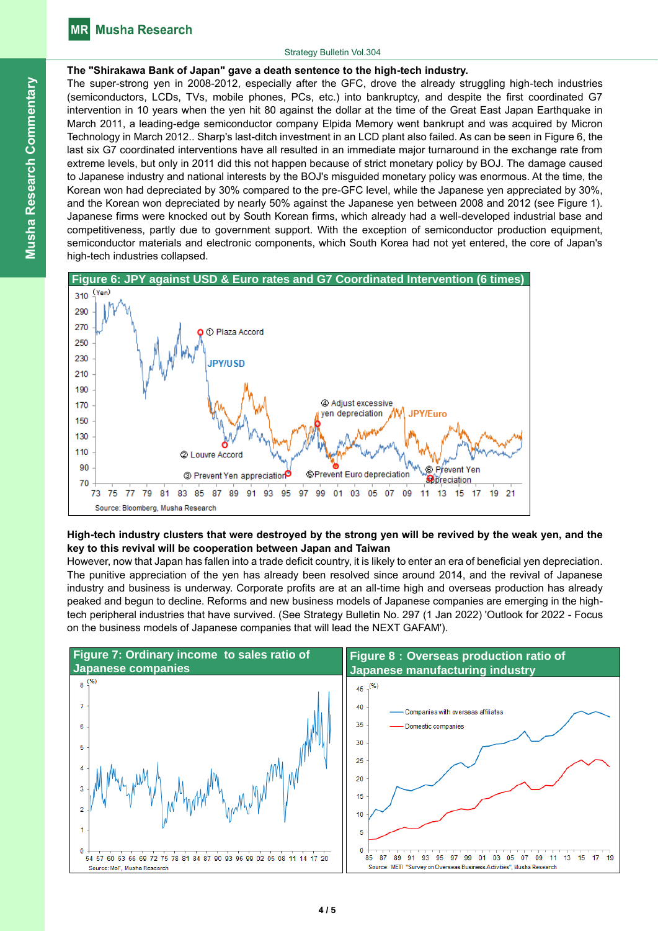#### Strategy Bulletin Vol.304

# **The "Shirakawa Bank of Japan" gave a death sentence to the high-tech industry.**

The super-strong yen in 2008-2012, especially after the GFC, drove the already struggling high-tech industries (semiconductors, LCDs, TVs, mobile phones, PCs, etc.) into bankruptcy, and despite the first coordinated G7 intervention in 10 years when the yen hit 80 against the dollar at the time of the Great East Japan Earthquake in March 2011, a leading-edge semiconductor company Elpida Memory went bankrupt and was acquired by Micron Technology in March 2012.. Sharp's last-ditch investment in an LCD plant also failed. As can be seen in Figure 6, the last six G7 coordinated interventions have all resulted in an immediate major turnaround in the exchange rate from extreme levels, but only in 2011 did this not happen because of strict monetary policy by BOJ. The damage caused to Japanese industry and national interests by the BOJ's misguided monetary policy was enormous. At the time, the Korean won had depreciated by 30% compared to the pre-GFC level, while the Japanese yen appreciated by 30%, and the Korean won depreciated by nearly 50% against the Japanese yen between 2008 and 2012 (see Figure 1). Japanese firms were knocked out by South Korean firms, which already had a well-developed industrial base and competitiveness, partly due to government support. With the exception of semiconductor production equipment, semiconductor materials and electronic components, which South Korea had not yet entered, the core of Japan's high-tech industries collapsed.





# **High-tech industry clusters that were destroyed by the strong yen will be revived by the weak yen, and the key to this revival will be cooperation between Japan and Taiwan**

However, now that Japan has fallen into a trade deficit country, it is likely to enter an era of beneficial yen depreciation. The punitive appreciation of the yen has already been resolved since around 2014, and the revival of Japanese industry and business is underway. Corporate profits are at an all-time high and overseas production has already peaked and begun to decline. Reforms and new business models of Japanese companies are emerging in the hightech peripheral industries that have survived. (See Strategy Bulletin No. 297 (1 Jan 2022) 'Outlook for 2022 - Focus on the business models of Japanese companies that will lead the NEXT GAFAM').